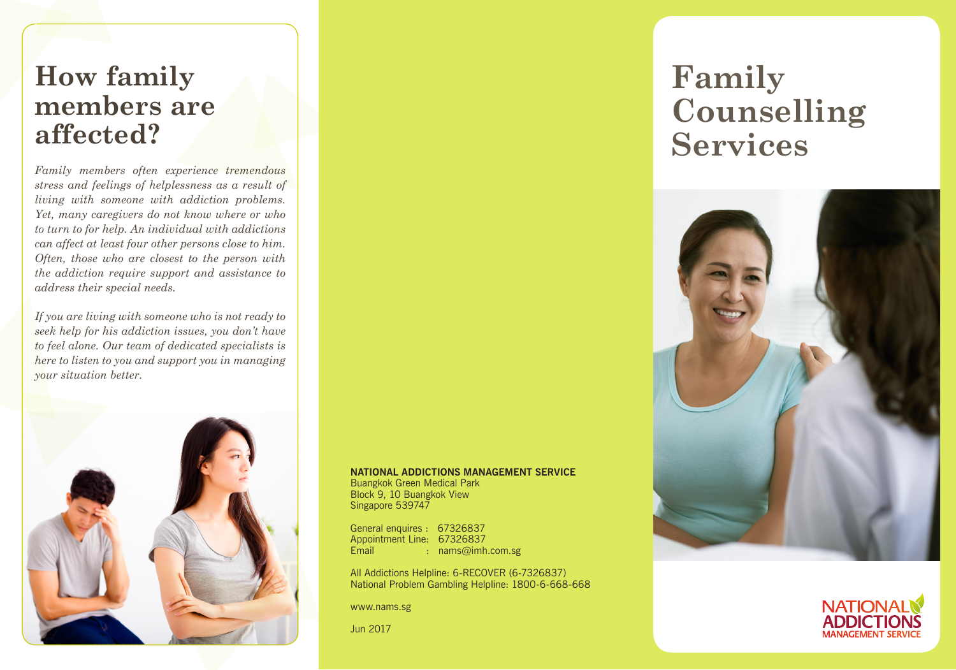## **How family members are affected?**

*Family members often experience tremendous stress and feelings of helplessness as a result of living with someone with addiction problems. Yet, many caregivers do not know where or who to turn to for help. An individual with addictions can affect at least four other persons close to him. Often, those who are closest to the person with the addiction require support and assistance to address their special needs.* 

*If you are living with someone who is not ready to seek help for his addiction issues, you don't have to feel alone. Our team of dedicated specialists is here to listen to you and support you in managing your situation better.* 



#### **NATIONAL ADDICTIONS MANAGEMENT SERVICE**

Buangkok Green Medical Park Block 9, 10 Buangkok View Singapore 539747

General enquires : 67326837 Appointment Line: 67326837 Email : nams@imh.com.sg

All Addictions Helpline: 6-RECOVER (6-7326837) National Problem Gambling Helpline: 1800-6-668-668

www.nams.sg

Jun 2017

# **Family Counselling Services**